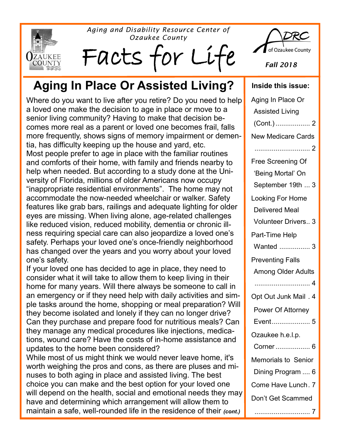*Aging and Disability Resource Center of Ozaukee County*







*Fall 2018*

# Aging In Place Or Assisted Living? | Inside this issue:

Where do you want to live after you retire? Do you need to help a loved one make the decision to age in place or move to a senior living community? Having to make that decision becomes more real as a parent or loved one becomes frail, falls more frequently, shows signs of memory impairment or dementia, has difficulty keeping up the house and yard, etc. Most people prefer to age in place with the familiar routines and comforts of their home, with family and friends nearby to help when needed. But according to a study done at the University of Florida, millions of older Americans now occupy "inappropriate residential environments". The home may not accommodate the now-needed wheelchair or walker. Safety features like grab bars, railings and adequate lighting for older eyes are missing. When living alone, age-related challenges like reduced vision, reduced mobility, dementia or chronic illness requiring special care can also jeopardize a loved one's safety. Perhaps your loved one's once-friendly neighborhood has changed over the years and you worry about your loved one's safety.

If your loved one has decided to age in place, they need to consider what it will take to allow them to keep living in their home for many years. Will there always be someone to call in an emergency or if they need help with daily activities and simple tasks around the home, shopping or meal preparation? Will they become isolated and lonely if they can no longer drive? Can they purchase and prepare food for nutritious meals? Can they manage any medical procedures like injections, medications, wound care? Have the costs of in-home assistance and updates to the home been considered?

While most of us might think we would never leave home, it's worth weighing the pros and cons, as there are pluses and minuses to both aging in place and assisted living. The best choice you can make and the best option for your loved one will depend on the health, social and emotional needs they may have and determining which arrangement will allow them to maintain a safe, well-rounded life in the residence of their *(cont.)* 

| Aging In Place Or          |
|----------------------------|
| <b>Assisted Living</b>     |
| (Cont.)  2                 |
| <b>New Medicare Cards</b>  |
|                            |
| Free Screening Of          |
| 'Being Mortal' On          |
| September 19th  3          |
| <b>Looking For Home</b>    |
| <b>Delivered Meal</b>      |
| <b>Volunteer Drivers 3</b> |
| Part-Time Help             |
| Wanted  3                  |
|                            |
| <b>Preventing Falls</b>    |
| <b>Among Older Adults</b>  |
|                            |
| Opt Out Junk Mail . 4      |
| Power Of Attorney          |
| Event 5                    |
| Ozaukee h.e.l.p.           |
| Corner  6                  |
| <b>Memorials to Senior</b> |
| Dining Program  6          |
| Come Have Lunch. 7         |
| Don't Get Scammed          |

............................. 7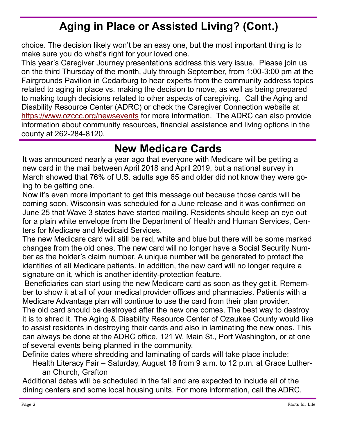## **Aging in Place or Assisted Living? (Cont.)**

choice. The decision likely won't be an easy one, but the most important thing is to make sure you do what's right for your loved one.

This year's Caregiver Journey presentations address this very issue. Please join us on the third Thursday of the month, July through September, from 1:00-3:00 pm at the Fairgrounds Pavilion in Cedarburg to hear experts from the community address topics related to aging in place vs. making the decision to move, as well as being prepared to making tough decisions related to other aspects of caregiving. Call the Aging and Disability Resource Center (ADRC) or check the Caregiver Connection website at <https://www.ozccc.org/newsevents> for more information. The ADRC can also provide information about community resources, financial assistance and living options in the county at 262-284-8120.

#### **New Medicare Cards**

It was announced nearly a year ago that everyone with Medicare will be getting a new card in the mail between April 2018 and April 2019, but a national survey in March showed that 76% of U.S. adults age 65 and older did not know they were going to be getting one.

Now it's even more important to get this message out because those cards will be coming soon. Wisconsin was scheduled for a June release and it was confirmed on June 25 that Wave 3 states have started mailing. Residents should keep an eye out for a plain white envelope from the Department of Health and Human Services, Centers for Medicare and Medicaid Services.

The new Medicare card will still be red, white and blue but there will be some marked changes from the old ones. The new card will no longer have a Social Security Number as the holder's claim number. A unique number will be generated to protect the identities of all Medicare patients. In addition, the new card will no longer require a signature on it, which is another identity-protection feature.

Beneficiaries can start using the new Medicare card as soon as they get it. Remember to show it at all of your medical provider offices and pharmacies. Patients with a Medicare Advantage plan will continue to use the card from their plan provider. The old card should be destroyed after the new one comes. The best way to destroy it is to shred it. The Aging & Disability Resource Center of Ozaukee County would like to assist residents in destroying their cards and also in laminating the new ones. This can always be done at the ADRC office, 121 W. Main St., Port Washington, or at one of several events being planned in the community.

Definite dates where shredding and laminating of cards will take place include:

Health Literacy Fair – Saturday, August 18 from 9 a.m. to 12 p.m. at Grace Lutheran Church, Grafton

Additional dates will be scheduled in the fall and are expected to include all of the dining centers and some local housing units. For more information, call the ADRC.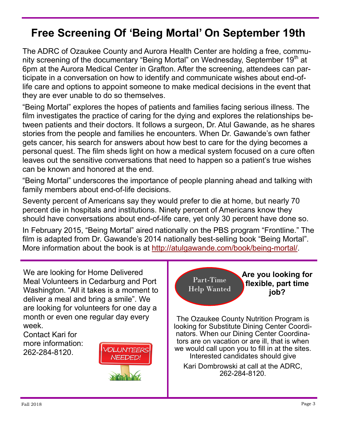## **Free Screening Of 'Being Mortal' On September 19th**

The ADRC of Ozaukee County and Aurora Health Center are holding a free, community screening of the documentary "Being Mortal" on Wednesday, September 19<sup>th</sup> at 6pm at the Aurora Medical Center in Grafton. After the screening, attendees can participate in a conversation on how to identify and communicate wishes about end-oflife care and options to appoint someone to make medical decisions in the event that they are ever unable to do so themselves.

"Being Mortal" explores the hopes of patients and families facing serious illness. The film investigates the practice of caring for the dying and explores the relationships between patients and their doctors. It follows a surgeon, Dr. Atul Gawande, as he shares stories from the people and families he encounters. When Dr. Gawande's own father gets cancer, his search for answers about how best to care for the dying becomes a personal quest. The film sheds light on how a medical system focused on a cure often leaves out the sensitive conversations that need to happen so a patient's true wishes can be known and honored at the end.

"Being Mortal" underscores the importance of people planning ahead and talking with family members about end-of-life decisions.

Seventy percent of Americans say they would prefer to die at home, but nearly 70 percent die in hospitals and institutions. Ninety percent of Americans know they should have conversations about end-of-life care, yet only 30 percent have done so.

In February 2015, "Being Mortal" aired nationally on the PBS program "Frontline." The film is adapted from Dr. Gawande's 2014 nationally best-selling book "Being Mortal". More information about the book is at [http://atulgawande.com/book/being](http://atulgawande.com/book/being-mortal/)-mortal/.

We are looking for Home Delivered **Are you looking for**  Part-Time Meal Volunteers in Cedarburg and Port **flexible, part time**  Help Wanted Washington. "All it takes is a moment to **job?** deliver a meal and bring a smile". We are looking for volunteers for one day a month or even one regular day every The Ozaukee County Nutrition Program is week. looking for Substitute Dining Center Coordinators. When our Dining Center Coordina-Contact Kari for tors are on vacation or are ill, that is when more information: we would call upon you to fill in at the sites. OLUNTEERS 262-284-8120. Interested candidates should give **JEEDED** Kari Dombrowski at call at the ADRC, 262-284-8120.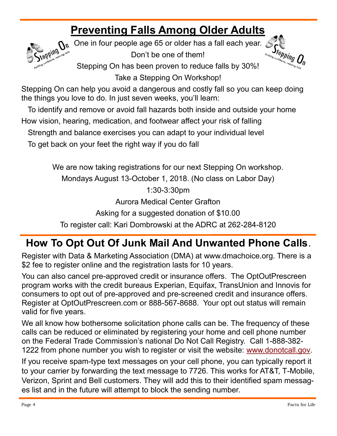# **Preventing Falls Among Older Adults**



One in four people age 65 or older has a fall each year. Don't be one of them!



Stepping On has been proven to reduce falls by 30%!

Take a Stepping On Workshop!

Stepping On can help you avoid a dangerous and costly fall so you can keep doing the things you love to do. In just seven weeks, you'll learn:

To identify and remove or avoid fall hazards both inside and outside your home

How vision, hearing, medication, and footwear affect your risk of falling

Strength and balance exercises you can adapt to your individual level

To get back on your feet the right way if you do fall

We are now taking registrations for our next Stepping On workshop.

Mondays August 13-October 1, 2018. (No class on Labor Day)

1:30-3:30pm

Aurora Medical Center Grafton

Asking for a suggested donation of \$10.00

To register call: Kari Dombrowski at the ADRC at 262-284-8120

## **How To Opt Out Of Junk Mail And Unwanted Phone Calls**.

Register with Data & Marketing Association (DMA) at www.dmachoice.org. There is a \$2 fee to register online and the registration lasts for 10 years.

You can also cancel pre-approved credit or insurance offers. The OptOutPrescreen program works with the credit bureaus Experian, Equifax, TransUnion and Innovis for consumers to opt out of pre-approved and pre-screened credit and insurance offers. Register at OptOutPrescreen.com or 888-567-8688. Your opt out status will remain valid for five years.

We all know how bothersome solicitation phone calls can be. The frequency of these calls can be reduced or eliminated by registering your home and cell phone number on the Federal Trade Commission's national Do Not Call Registry. Call 1-888-382- 1222 from phone number you wish to register or visit the website: [www.donotcall.gov.](http://www.donotcall.gov) 

If you receive spam-type text messages on your cell phone, you can typically report it to your carrier by forwarding the text message to 7726. This works for AT&T, T-Mobile, Verizon, Sprint and Bell customers. They will add this to their identified spam messages list and in the future will attempt to block the sending number.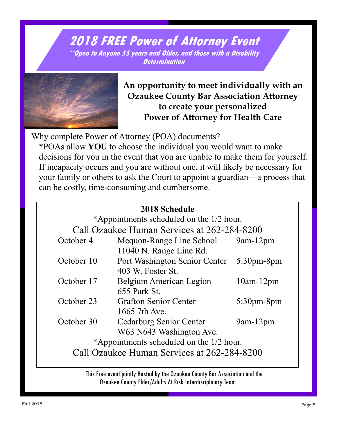#### **2018 FREE Power of Attorney Event \*\*Open to Anyone 55 years and Older, and those with a Disability Determination**



**An opportunity to meet individually with an Ozaukee County Bar Association Attorney to create your personalized Power of Attorney for Health Care**

Why complete Power of Attorney (POA) documents?

\*POAs allow **YOU** to choose the individual you would want to make decisions for you in the event that you are unable to make them for yourself. If incapacity occurs and you are without one, it will likely be necessary for your family or others to ask the Court to appoint a guardian—a process that can be costly, time-consuming and cumbersome.

|            | 2018 Schedule<br>*Appointments scheduled on the 1/2 hour.  |                  |
|------------|------------------------------------------------------------|------------------|
|            | Call Ozaukee Human Services at 262-284-8200                |                  |
| October 4  | Mequon-Range Line School<br>11040 N. Range Line Rd.        | $9am-12pm$       |
| October 10 | Port Washington Senior Center<br>403 W. Foster St.         | $5:30$ pm-8pm    |
| October 17 | Belgium American Legion<br>655 Park St.                    | $10$ am- $12$ pm |
| October 23 | <b>Grafton Senior Center</b><br>1665 7th Ave.              | $5:30$ pm-8pm    |
| October 30 | <b>Cedarburg Senior Center</b><br>W63 N643 Washington Ave. | $9am-12pm$       |
|            | *Appointments scheduled on the 1/2 hour.                   |                  |
|            | Call Ozaukee Human Services at 262-284-8200                |                  |

 This Free event jointly Hosted by the Ozaukee County Bar Association and the Ozaukee County Elder/Adults At Risk Interdisciplinary Team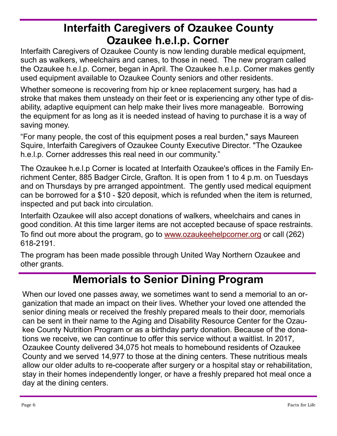### **Interfaith Caregivers of Ozaukee County Ozaukee h.e.l.p. Corner**

Interfaith Caregivers of Ozaukee County is now lending durable medical equipment, such as walkers, wheelchairs and canes, to those in need. The new program called the Ozaukee h.e.l.p. Corner, began in April. The Ozaukee h.e.l.p. Corner makes gently used equipment available to Ozaukee County seniors and other residents.

Whether someone is recovering from hip or knee replacement surgery, has had a stroke that makes them unsteady on their feet or is experiencing any other type of disability, adaptive equipment can help make their lives more manageable. Borrowing the equipment for as long as it is needed instead of having to purchase it is a way of saving money.

"For many people, the cost of this equipment poses a real burden," says Maureen Squire, Interfaith Caregivers of Ozaukee County Executive Director. "The Ozaukee h.e.l.p. Corner addresses this real need in our community."

The Ozaukee h.e.l.p Corner is located at Interfaith Ozaukee's offices in the Family Enrichment Center, 885 Badger Circle, Grafton. It is open from 1 to 4 p.m. on Tuesdays and on Thursdays by pre arranged appointment. The gently used medical equipment can be borrowed for a \$10 - \$20 deposit, which is refunded when the item is returned, inspected and put back into circulation.

Interfaith Ozaukee will also accept donations of walkers, wheelchairs and canes in good condition. At this time larger items are not accepted because of space restraints. To find out more about the program, go to [www.ozaukeehelpcorner.org](http://www.ozaukeehelpcorner.org) or call (262) 618-2191.

The program has been made possible through United Way Northern Ozaukee and other grants.

#### **Memorials to Senior Dining Program**

When our loved one passes away, we sometimes want to send a memorial to an organization that made an impact on their lives. Whether your loved one attended the senior dining meals or received the freshly prepared meals to their door, memorials can be sent in their name to the Aging and Disability Resource Center for the Ozaukee County Nutrition Program or as a birthday party donation. Because of the donations we receive, we can continue to offer this service without a waitlist. In 2017, Ozaukee County delivered 34,075 hot meals to homebound residents of Ozaukee County and we served 14,977 to those at the dining centers. These nutritious meals allow our older adults to re-cooperate after surgery or a hospital stay or rehabilitation, stay in their homes independently longer, or have a freshly prepared hot meal once a day at the dining centers.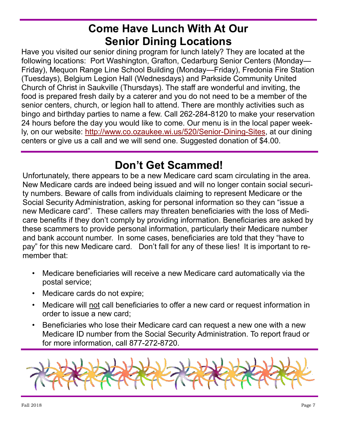### **Come Have Lunch With At Our Senior Dining Locations**

Have you visited our senior dining program for lunch lately? They are located at the following locations: Port Washington, Grafton, Cedarburg Senior Centers (Monday— Friday), Mequon Range Line School Building (Monday—Friday), Fredonia Fire Station (Tuesdays), Belgium Legion Hall (Wednesdays) and Parkside Community United Church of Christ in Saukville (Thursdays). The staff are wonderful and inviting, the food is prepared fresh daily by a caterer and you do not need to be a member of the senior centers, church, or legion hall to attend. There are monthly activities such as bingo and birthday parties to name a few. Call 262-284-8120 to make your reservation 24 hours before the day you would like to come. Our menu is in the local paper weekly, on our website: [http://www.co.ozaukee.wi.us/520/Senior](http://www.co.ozaukee.wi.us/520/Senior-Dining-Sites)-Dining-Sites, at our dining centers or give us a call and we will send one. Suggested donation of \$4.00.

#### **Don't Get Scammed!**

Unfortunately, there appears to be a new Medicare card scam circulating in the area. New Medicare cards are indeed being issued and will no longer contain social security numbers. Beware of calls from individuals claiming to represent Medicare or the Social Security Administration, asking for personal information so they can "issue a new Medicare card". These callers may threaten beneficiaries with the loss of Medicare benefits if they don't comply by providing information. Beneficiaries are asked by these scammers to provide personal information, particularly their Medicare number and bank account number. In some cases, beneficiaries are told that they "have to pay" for this new Medicare card. Don't fall for any of these lies! It is important to remember that:

- Medicare beneficiaries will receive a new Medicare card automatically via the postal service;
- Medicare cards do not expire;
- Medicare will not call beneficiaries to offer a new card or request information in order to issue a new card;
- Beneficiaries who lose their Medicare card can request a new one with a new Medicare ID number from the Social Security Administration. To report fraud or for more information, call 877-272-8720.